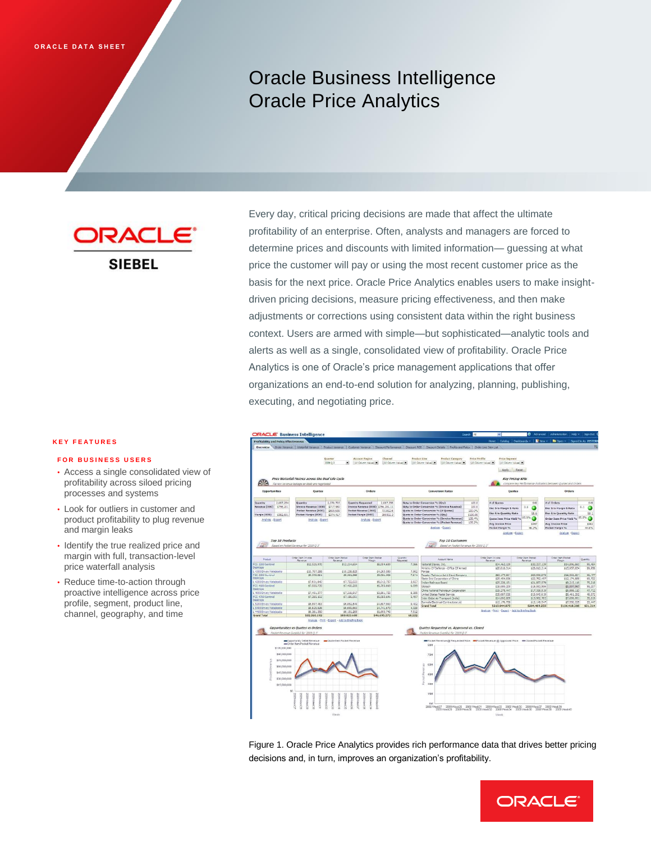# Oracle Business Intelligence Oracle Price Analytics

DRACL **SIEBEL** 

#### **K E Y F E A T U R E S**

#### **FOR BUSINESS USERS**

- • Access a single consolidated view of profitability across siloed pricing processes and systems
- • Look for outliers in customer and product profitability to plug revenue and margin leaks
- • Identify the true realized price and margin with full, transaction-level price waterfall analysis
- • Reduce time-to-action through proactive intelligence across price profile, segment, product line, channel, geography, and time

Every day, critical pricing decisions are made that affect the ultimate profitability of an enterprise. Often, analysts and managers are forced to determine prices and discounts with limited information— guessing at what price the customer will pay or using the most recent customer price as the basis for the next price. Oracle Price Analytics enables users to make insightdriven pricing decisions, measure pricing effectiveness, and then make adjustments or corrections using consistent data within the right business context. Users are armed with simple—but sophisticated—analytic tools and alerts as well as a single, consolidated view of profitability. Oracle Price Analytics is one of Oracle's price management applications that offer organizations an end-to-end solution for analyzing, planning, publishing, executing, and negotiating price.



 Figure 1. Oracle Price Analytics provides rich performance data that drives better pricing decisions and, in turn, improves an organization's profitability.

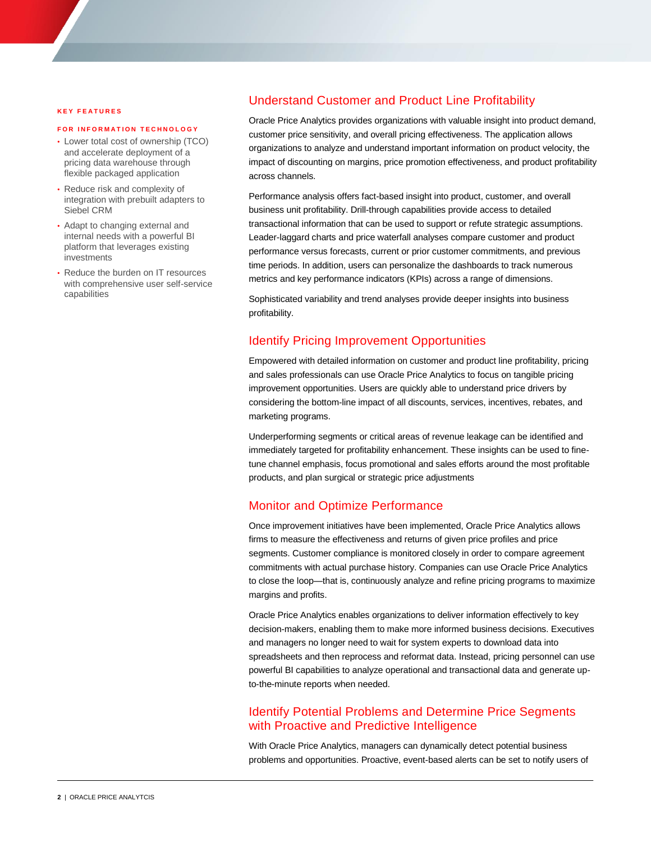#### **K E Y F E A T U R E S**

#### **FOR INFORMATION TECHNOLOGY**

- • Lower total cost of ownership (TCO) and accelerate deployment of a pricing data warehouse through flexible packaged application
- • Reduce risk and complexity of integration with prebuilt adapters to Siebel CRM
- • Adapt to changing external and internal needs with a powerful BI platform that leverages existing investments
- • Reduce the burden on IT resources with comprehensive user self-service capabilities

## Understand Customer and Product Line Profitability

 Oracle Price Analytics provides organizations with valuable insight into product demand, customer price sensitivity, and overall pricing effectiveness. The application allows organizations to analyze and understand important information on product velocity, the impact of discounting on margins, price promotion effectiveness, and product profitability across channels.

 Performance analysis offers fact-based insight into product, customer, and overall business unit profitability. Drill-through capabilities provide access to detailed transactional information that can be used to support or refute strategic assumptions. Leader-laggard charts and price waterfall analyses compare customer and product performance versus forecasts, current or prior customer commitments, and previous time periods. In addition, users can personalize the dashboards to track numerous metrics and key performance indicators (KPIs) across a range of dimensions.

 Sophisticated variability and trend analyses provide deeper insights into business profitability.

## Identify Pricing Improvement Opportunities

 Empowered with detailed information on customer and product line profitability, pricing and sales professionals can use Oracle Price Analytics to focus on tangible pricing improvement opportunities. Users are quickly able to understand price drivers by considering the bottom-line impact of all discounts, services, incentives, rebates, and marketing programs.

 Underperforming segments or critical areas of revenue leakage can be identified and immediately targeted for profitability enhancement. These insights can be used to fine- tune channel emphasis, focus promotional and sales efforts around the most profitable products, and plan surgical or strategic price adjustments

## Monitor and Optimize Performance

 Once improvement initiatives have been implemented, Oracle Price Analytics allows firms to measure the effectiveness and returns of given price profiles and price segments. Customer compliance is monitored closely in order to compare agreement commitments with actual purchase history. Companies can use Oracle Price Analytics to close the loop—that is, continuously analyze and refine pricing programs to maximize margins and profits.

 Oracle Price Analytics enables organizations to deliver information effectively to key decision-makers, enabling them to make more informed business decisions. Executives and managers no longer need to wait for system experts to download data into spreadsheets and then reprocess and reformat data. Instead, pricing personnel can use powerful BI capabilities to analyze operational and transactional data and generate up-to-the-minute reports when needed.

## Identify Potential Problems and Determine Price Segments with Proactive and Predictive Intelligence

 With Oracle Price Analytics, managers can dynamically detect potential business problems and opportunities. Proactive, event-based alerts can be set to notify users of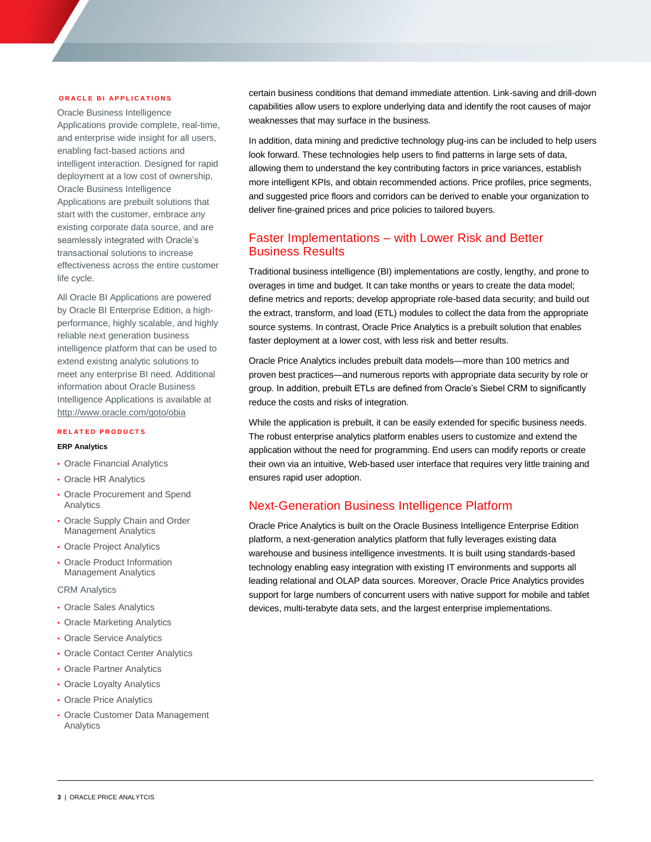#### **ORACLE BI APPLICATIONS**

 Oracle Business Intelligence Applications provide complete, real-time, and enterprise wide insight for all users, enabling fact-based actions and intelligent interaction. Designed for rapid deployment at a low cost of ownership, Oracle Business Intelligence Applications are prebuilt solutions that start with the customer, embrace any existing corporate data source, and are seamlessly integrated with Oracle's transactional solutions to increase effectiveness across the entire customer life cycle.

 All Oracle BI Applications are powered by Oracle BI Enterprise Edition, a high- performance, highly scalable, and highly reliable next generation business intelligence platform that can be used to extend existing analytic solutions to meet any enterprise BI need. Additional information about Oracle Business Intelligence Applications is available at <http://www.oracle.com/goto/obia>

#### **R E L A T E D P R O D U C T S**

### **ERP Analytics**

- Oracle Financial Analytics
- Oracle HR Analytics
- • Oracle Procurement and Spend Analytics
- • Oracle Supply Chain and Order Management Analytics
- Oracle Project Analytics
- • Oracle Product Information Management Analytics

#### CRM Analytics

- Oracle Sales Analytics
- Oracle Marketing Analytics
- Oracle Service Analytics
- Oracle Contact Center Analytics
- Oracle Partner Analytics
- Oracle Loyalty Analytics
- Oracle Price Analytics
- • Oracle Customer Data Management Analytics

 certain business conditions that demand immediate attention. Link-saving and drill-down capabilities allow users to explore underlying data and identify the root causes of major weaknesses that may surface in the business.

 In addition, data mining and predictive technology plug-ins can be included to help users look forward. These technologies help users to find patterns in large sets of data, allowing them to understand the key contributing factors in price variances, establish more intelligent KPIs, and obtain recommended actions. Price profiles, price segments, and suggested price floors and corridors can be derived to enable your organization to deliver fine-grained prices and price policies to tailored buyers. **EXERCUTION S**<br> **EXERCUTION S**<br> **CONSERVATIONS**<br> **CONSERVATIONS**<br> **CONSERVATIONS**<br> **CONSERVATIONS**<br> **O REVENUES AND A CONSERVATIONS**<br> **O REVENUES AND A CONSERVATIONS**<br> **CONSERVATION** CONSERVATIONS TO PROPER THE PROPERTIES

## Faster Implementations – with Lower Risk and Better Business Results

 Traditional business intelligence (BI) implementations are costly, lengthy, and prone to overages in time and budget. It can take months or years to create the data model; define metrics and reports; develop appropriate role-based data security; and build out the extract, transform, and load (ETL) modules to collect the data from the appropriate source systems. In contrast, Oracle Price Analytics is a prebuilt solution that enables faster deployment at a lower cost, with less risk and better results.

 Oracle Price Analytics includes prebuilt data models—more than 100 metrics and proven best practices—and numerous reports with appropriate data security by role or group. In addition, prebuilt ETLs are defined from Oracle's Siebel CRM to significantly reduce the costs and risks of integration.

 While the application is prebuilt, it can be easily extended for specific business needs. The robust enterprise analytics platform enables users to customize and extend the application without the need for programming. End users can modify reports or create their own via an intuitive, Web-based user interface that requires very little training and ensures rapid user adoption.

## Next-Generation Business Intelligence Platform

 Oracle Price Analytics is built on the Oracle Business Intelligence Enterprise Edition platform, a next-generation analytics platform that fully leverages existing data warehouse and business intelligence investments. It is built using standards-based technology enabling easy integration with existing IT environments and supports all leading relational and OLAP data sources. Moreover, Oracle Price Analytics provides support for large numbers of concurrent users with native support for mobile and tablet devices, multi-terabyte data sets, and the largest enterprise implementations.